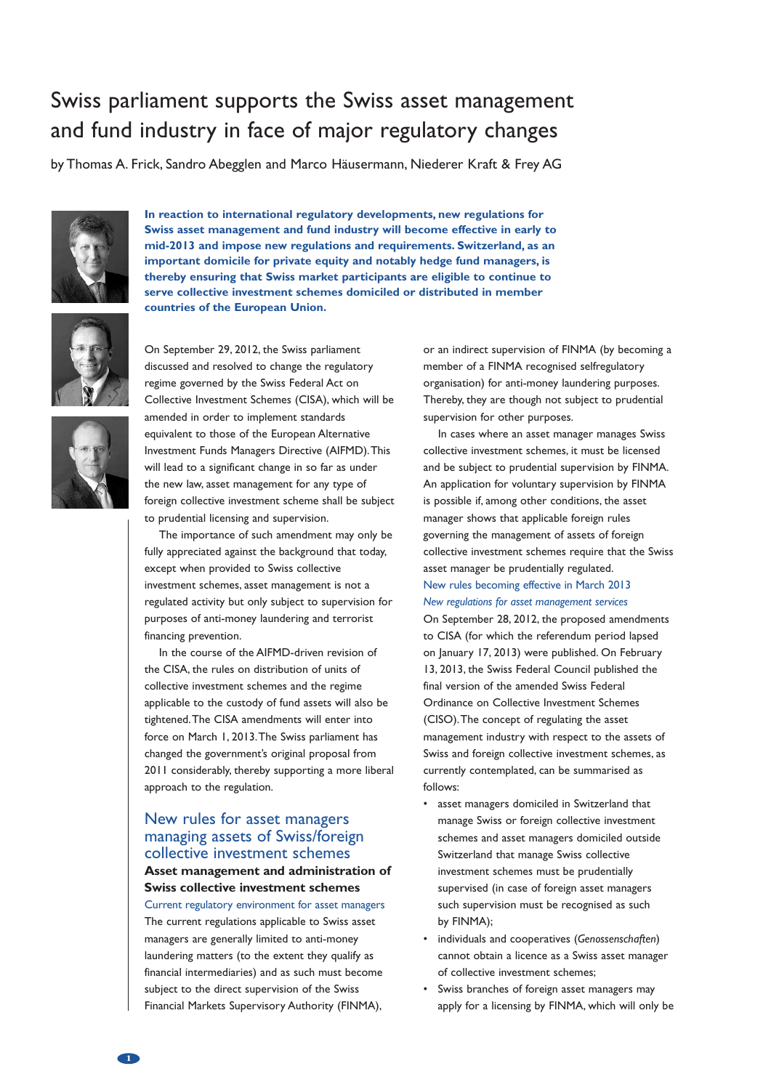# Swiss parliament supports the Swiss asset management and fund industry in face of major regulatory changes

by Thomas A. Frick, Sandro Abegglen and Marco Häusermann, Niederer Kraft & Frey AG



**In reaction to international regulatory developments, new regulations for Swiss asset management and fund industry will become effective in early to mid-2013 and impose new regulations and requirements. Switzerland, as an important domicile for private equity and notably hedge fund managers, is thereby ensuring that Swiss market participants are eligible to continue to serve collective investment schemes domiciled or distributed in member countries of the European Union.**





On September 29, 2012, the Swiss parliament discussed and resolved to change the regulatory regime governed by the Swiss Federal Act on Collective Investment Schemes (CISA), which will be amended in order to implement standards equivalent to those of the European Alternative Investment Funds Managers Directive (AIFMD).This will lead to a significant change in so far as under the new law, asset management for any type of foreign collective investment scheme shall be subject to prudential licensing and supervision.

The importance of such amendment may only be fully appreciated against the background that today, except when provided to Swiss collective investment schemes, asset management is not a regulated activity but only subject to supervision for purposes of anti-money laundering and terrorist financing prevention.

In the course of the AIFMD-driven revision of the CISA, the rules on distribution of units of collective investment schemes and the regime applicable to the custody of fund assets will also be tightened.The CISA amendments will enter into force on March 1, 2013.The Swiss parliament has changed the government's original proposal from 2011 considerably, thereby supporting a more liberal approach to the regulation.

# New rules for asset managers managing assets of Swiss/foreign collective investment schemes

# **Asset management and administration of Swiss collective investment schemes**

Current regulatory environment for asset managers The current regulations applicable to Swiss asset managers are generally limited to anti-money laundering matters (to the extent they qualify as financial intermediaries) and as such must become subject to the direct supervision of the Swiss Financial Markets Supervisory Authority (FINMA),

or an indirect supervision of FINMA (by becoming a member of a FINMA recognised selfregulatory organisation) for anti-money laundering purposes. Thereby, they are though not subject to prudential supervision for other purposes.

In cases where an asset manager manages Swiss collective investment schemes, it must be licensed and be subject to prudential supervision by FINMA. An application for voluntary supervision by FINMA is possible if, among other conditions, the asset manager shows that applicable foreign rules governing the management of assets of foreign collective investment schemes require that the Swiss asset manager be prudentially regulated. New rules becoming effective in March 2013 *New regulations for asset management services*

On September 28, 2012, the proposed amendments to CISA (for which the referendum period lapsed on January 17, 2013) were published. On February 13, 2013, the Swiss Federal Council published the final version of the amended Swiss Federal Ordinance on Collective Investment Schemes (CISO).The concept of regulating the asset management industry with respect to the assets of Swiss and foreign collective investment schemes, as currently contemplated, can be summarised as follows:

- asset managers domiciled in Switzerland that manage Swiss or foreign collective investment schemes and asset managers domiciled outside Switzerland that manage Swiss collective investment schemes must be prudentially supervised (in case of foreign asset managers such supervision must be recognised as such by FINMA);
- individuals and cooperatives (*Genossenschaften*) cannot obtain a licence as a Swiss asset manager of collective investment schemes;
- Swiss branches of foreign asset managers may apply for a licensing by FINMA, which will only be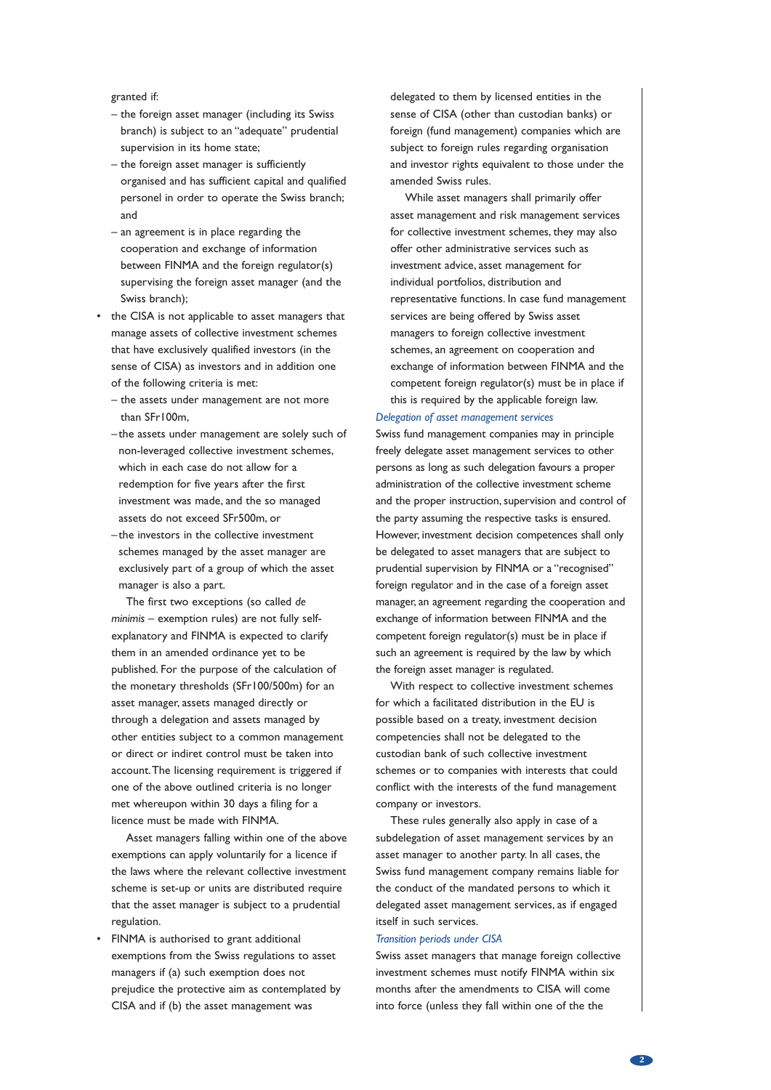granted if:

- the foreign asset manager (including its Swiss branch) is subject to an "adequate" prudential supervision in its home state;
- the foreign asset manager is sufficiently organised and has sufficient capital and qualified personel in order to operate the Swiss branch; and
- an agreement is in place regarding the cooperation and exchange of information between FINMA and the foreign regulator(s) supervising the foreign asset manager (and the Swiss branch);
- the CISA is not applicable to asset managers that manage assets of collective investment schemes that have exclusively qualified investors (in the sense of CISA) as investors and in addition one of the following criteria is met:
	- the assets under management are not more than SFr100m,
	- the assets under management are solely such of non-leveraged collective investment schemes, which in each case do not allow for a redemption for five years after the first investment was made, and the so managed assets do not exceed SFr500m, or
	- the investors in the collective investment schemes managed by the asset manager are exclusively part of a group of which the asset manager is also a part.

The first two exceptions (so called *de minimis* – exemption rules) are not fully selfexplanatory and FINMA is expected to clarify them in an amended ordinance yet to be published. For the purpose of the calculation of the monetary thresholds (SFr100/500m) for an asset manager, assets managed directly or through a delegation and assets managed by other entities subject to a common management or direct or indiret control must be taken into account.The licensing requirement is triggered if one of the above outlined criteria is no longer met whereupon within 30 days a filing for a licence must be made with FINMA.

Asset managers falling within one of the above exemptions can apply voluntarily for a licence if the laws where the relevant collective investment scheme is set-up or units are distributed require that the asset manager is subject to a prudential regulation.

• FINMA is authorised to grant additional exemptions from the Swiss regulations to asset managers if (a) such exemption does not prejudice the protective aim as contemplated by CISA and if (b) the asset management was

delegated to them by licensed entities in the sense of CISA (other than custodian banks) or foreign (fund management) companies which are subject to foreign rules regarding organisation and investor rights equivalent to those under the amended Swiss rules.

While asset managers shall primarily offer asset management and risk management services for collective investment schemes, they may also offer other administrative services such as investment advice, asset management for individual portfolios, distribution and representative functions. In case fund management services are being offered by Swiss asset managers to foreign collective investment schemes, an agreement on cooperation and exchange of information between FINMA and the competent foreign regulator(s) must be in place if this is required by the applicable foreign law.

## *Delegation of asset management services*

Swiss fund management companies may in principle freely delegate asset management services to other persons as long as such delegation favours a proper administration of the collective investment scheme and the proper instruction, supervision and control of the party assuming the respective tasks is ensured. However, investment decision competences shall only be delegated to asset managers that are subject to prudential supervision by FINMA or a "recognised" foreign regulator and in the case of a foreign asset manager, an agreement regarding the cooperation and exchange of information between FINMA and the competent foreign regulator(s) must be in place if such an agreement is required by the law by which the foreign asset manager is regulated.

With respect to collective investment schemes for which a facilitated distribution in the EU is possible based on a treaty, investment decision competencies shall not be delegated to the custodian bank of such collective investment schemes or to companies with interests that could conflict with the interests of the fund management company or investors.

These rules generally also apply in case of a subdelegation of asset management services by an asset manager to another party. In all cases, the Swiss fund management company remains liable for the conduct of the mandated persons to which it delegated asset management services, as if engaged itself in such services.

#### *Transition periods under CISA*

Swiss asset managers that manage foreign collective investment schemes must notify FINMA within six months after the amendments to CISA will come into force (unless they fall within one of the the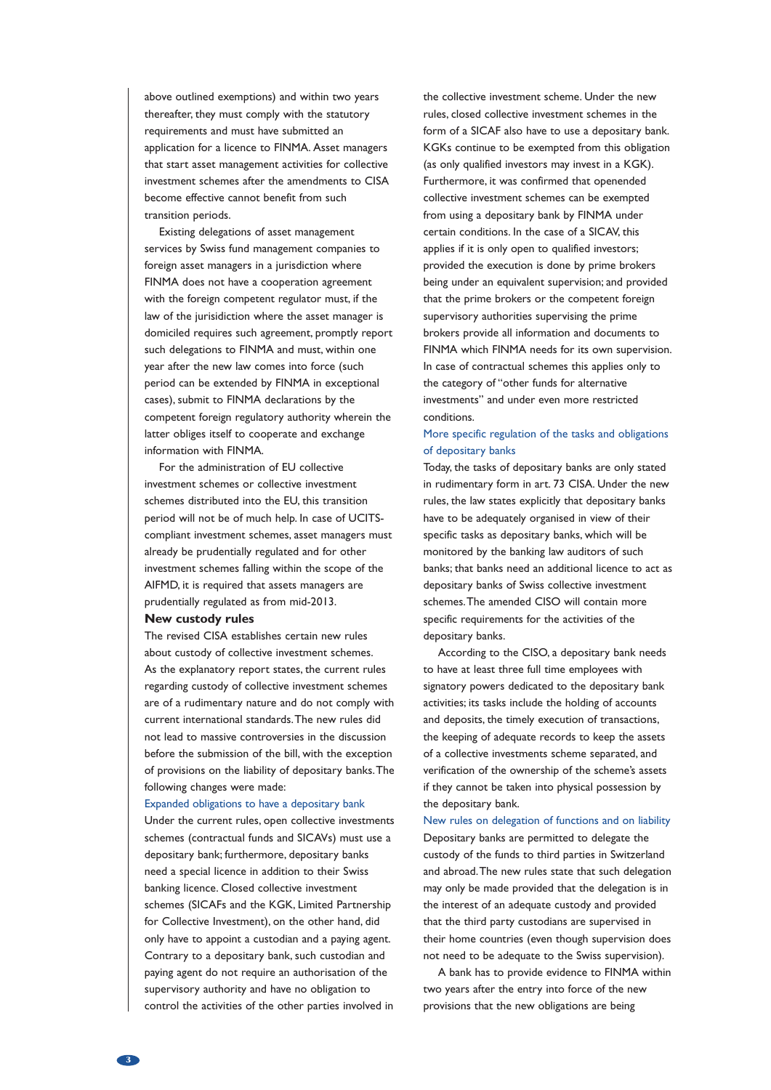above outlined exemptions) and within two years thereafter, they must comply with the statutory requirements and must have submitted an application for a licence to FINMA. Asset managers that start asset management activities for collective investment schemes after the amendments to CISA become effective cannot benefit from such transition periods.

Existing delegations of asset management services by Swiss fund management companies to foreign asset managers in a jurisdiction where FINMA does not have a cooperation agreement with the foreign competent regulator must, if the law of the jurisidiction where the asset manager is domiciled requires such agreement, promptly report such delegations to FINMA and must, within one year after the new law comes into force (such period can be extended by FINMA in exceptional cases), submit to FINMA declarations by the competent foreign regulatory authority wherein the latter obliges itself to cooperate and exchange information with FINMA.

For the administration of EU collective investment schemes or collective investment schemes distributed into the EU, this transition period will not be of much help. In case of UCITScompliant investment schemes, asset managers must already be prudentially regulated and for other investment schemes falling within the scope of the AIFMD, it is required that assets managers are prudentially regulated as from mid-2013.

## **New custody rules**

The revised CISA establishes certain new rules about custody of collective investment schemes. As the explanatory report states, the current rules regarding custody of collective investment schemes are of a rudimentary nature and do not comply with current international standards.The new rules did not lead to massive controversies in the discussion before the submission of the bill, with the exception of provisions on the liability of depositary banks.The following changes were made:

#### Expanded obligations to have a depositary bank

Under the current rules, open collective investments schemes (contractual funds and SICAVs) must use a depositary bank; furthermore, depositary banks need a special licence in addition to their Swiss banking licence. Closed collective investment schemes (SICAFs and the KGK, Limited Partnership for Collective Investment), on the other hand, did only have to appoint a custodian and a paying agent. Contrary to a depositary bank, such custodian and paying agent do not require an authorisation of the supervisory authority and have no obligation to control the activities of the other parties involved in

the collective investment scheme. Under the new rules, closed collective investment schemes in the form of a SICAF also have to use a depositary bank. KGKs continue to be exempted from this obligation (as only qualified investors may invest in a KGK). Furthermore, it was confirmed that openended collective investment schemes can be exempted from using a depositary bank by FINMA under certain conditions. In the case of a SICAV, this applies if it is only open to qualified investors; provided the execution is done by prime brokers being under an equivalent supervision; and provided that the prime brokers or the competent foreign supervisory authorities supervising the prime brokers provide all information and documents to FINMA which FINMA needs for its own supervision. In case of contractual schemes this applies only to the category of "other funds for alternative investments" and under even more restricted conditions.

## More specific regulation of the tasks and obligations of depositary banks

Today, the tasks of depositary banks are only stated in rudimentary form in art. 73 CISA. Under the new rules, the law states explicitly that depositary banks have to be adequately organised in view of their specific tasks as depositary banks, which will be monitored by the banking law auditors of such banks; that banks need an additional licence to act as depositary banks of Swiss collective investment schemes.The amended CISO will contain more specific requirements for the activities of the depositary banks.

According to the CISO, a depositary bank needs to have at least three full time employees with signatory powers dedicated to the depositary bank activities; its tasks include the holding of accounts and deposits, the timely execution of transactions, the keeping of adequate records to keep the assets of a collective investments scheme separated, and verification of the ownership of the scheme's assets if they cannot be taken into physical possession by the depositary bank.

# New rules on delegation of functions and on liability Depositary banks are permitted to delegate the custody of the funds to third parties in Switzerland and abroad.The new rules state that such delegation may only be made provided that the delegation is in the interest of an adequate custody and provided that the third party custodians are supervised in their home countries (even though supervision does not need to be adequate to the Swiss supervision).

A bank has to provide evidence to FINMA within two years after the entry into force of the new provisions that the new obligations are being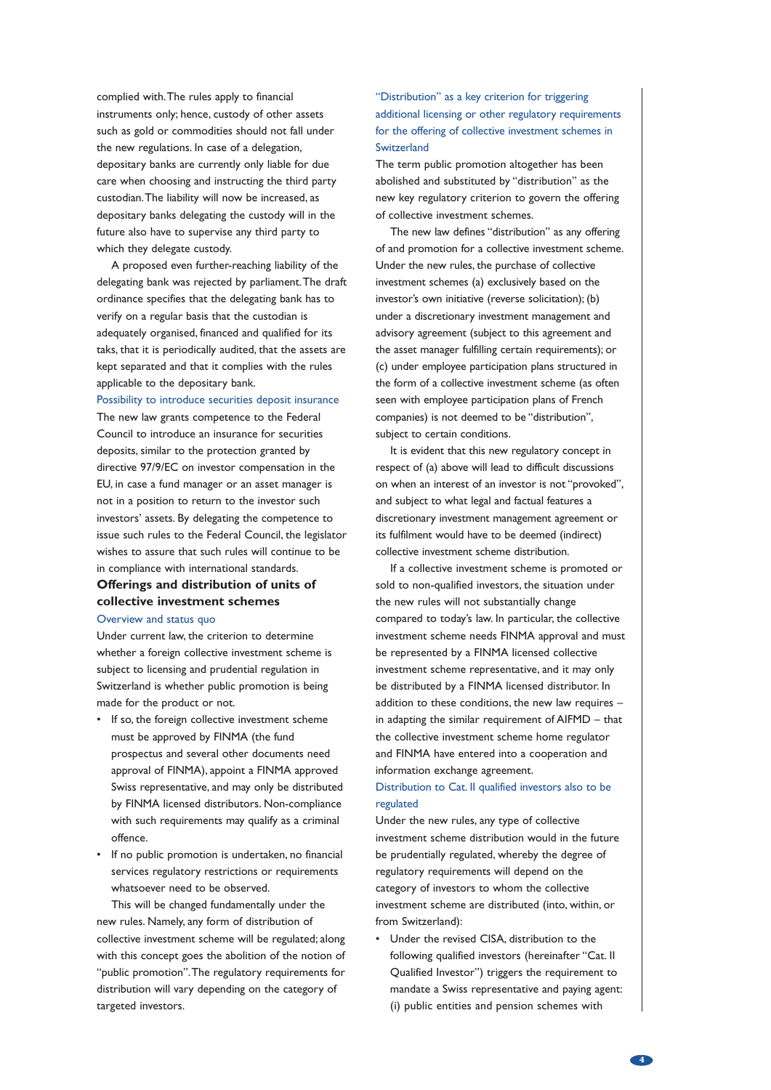complied with.The rules apply to financial instruments only; hence, custody of other assets such as gold or commodities should not fall under the new regulations. In case of a delegation, depositary banks are currently only liable for due care when choosing and instructing the third party custodian.The liability will now be increased, as depositary banks delegating the custody will in the future also have to supervise any third party to which they delegate custody.

A proposed even further-reaching liability of the delegating bank was rejected by parliament.The draft ordinance specifies that the delegating bank has to verify on a regular basis that the custodian is adequately organised, financed and qualified for its taks, that it is periodically audited, that the assets are kept separated and that it complies with the rules applicable to the depositary bank.

#### Possibility to introduce securities deposit insurance

The new law grants competence to the Federal Council to introduce an insurance for securities deposits, similar to the protection granted by directive 97/9/EC on investor compensation in the EU, in case a fund manager or an asset manager is not in a position to return to the investor such investors' assets. By delegating the competence to issue such rules to the Federal Council, the legislator wishes to assure that such rules will continue to be in compliance with international standards.

# **Offerings and distribution of units of collective investment schemes**

## Overview and status quo

Under current law, the criterion to determine whether a foreign collective investment scheme is subject to licensing and prudential regulation in Switzerland is whether public promotion is being made for the product or not.

- If so, the foreign collective investment scheme must be approved by FINMA (the fund prospectus and several other documents need approval of FINMA), appoint a FINMA approved Swiss representative, and may only be distributed by FINMA licensed distributors. Non-compliance with such requirements may qualify as a criminal offence.
- If no public promotion is undertaken, no financial services regulatory restrictions or requirements whatsoever need to be observed.

This will be changed fundamentally under the new rules. Namely, any form of distribution of collective investment scheme will be regulated; along with this concept goes the abolition of the notion of "public promotion".The regulatory requirements for distribution will vary depending on the category of targeted investors.

## "Distribution" as a key criterion for triggering additional licensing or other regulatory requirements for the offering of collective investment schemes in **Switzerland**

The term public promotion altogether has been abolished and substituted by "distribution" as the new key regulatory criterion to govern the offering of collective investment schemes.

The new law defines "distribution" as any offering of and promotion for a collective investment scheme. Under the new rules, the purchase of collective investment schemes (a) exclusively based on the investor's own initiative (reverse solicitation); (b) under a discretionary investment management and advisory agreement (subject to this agreement and the asset manager fulfilling certain requirements); or (c) under employee participation plans structured in the form of a collective investment scheme (as often seen with employee participation plans of French companies) is not deemed to be "distribution", subject to certain conditions.

It is evident that this new regulatory concept in respect of (a) above will lead to difficult discussions on when an interest of an investor is not "provoked", and subject to what legal and factual features a discretionary investment management agreement or its fulfilment would have to be deemed (indirect) collective investment scheme distribution.

If a collective investment scheme is promoted or sold to non-qualified investors, the situation under the new rules will not substantially change compared to today's law. In particular, the collective investment scheme needs FINMA approval and must be represented by a FINMA licensed collective investment scheme representative, and it may only be distributed by a FINMA licensed distributor. In addition to these conditions, the new law requires  $$ in adapting the similar requirement of AIFMD – that the collective investment scheme home regulator and FINMA have entered into a cooperation and information exchange agreement.

## Distribution to Cat. II qualified investors also to be regulated

Under the new rules, any type of collective investment scheme distribution would in the future be prudentially regulated, whereby the degree of regulatory requirements will depend on the category of investors to whom the collective investment scheme are distributed (into, within, or from Switzerland):

• Under the revised CISA, distribution to the following qualified investors (hereinafter "Cat. II Qualified Investor") triggers the requirement to mandate a Swiss representative and paying agent: (i) public entities and pension schemes with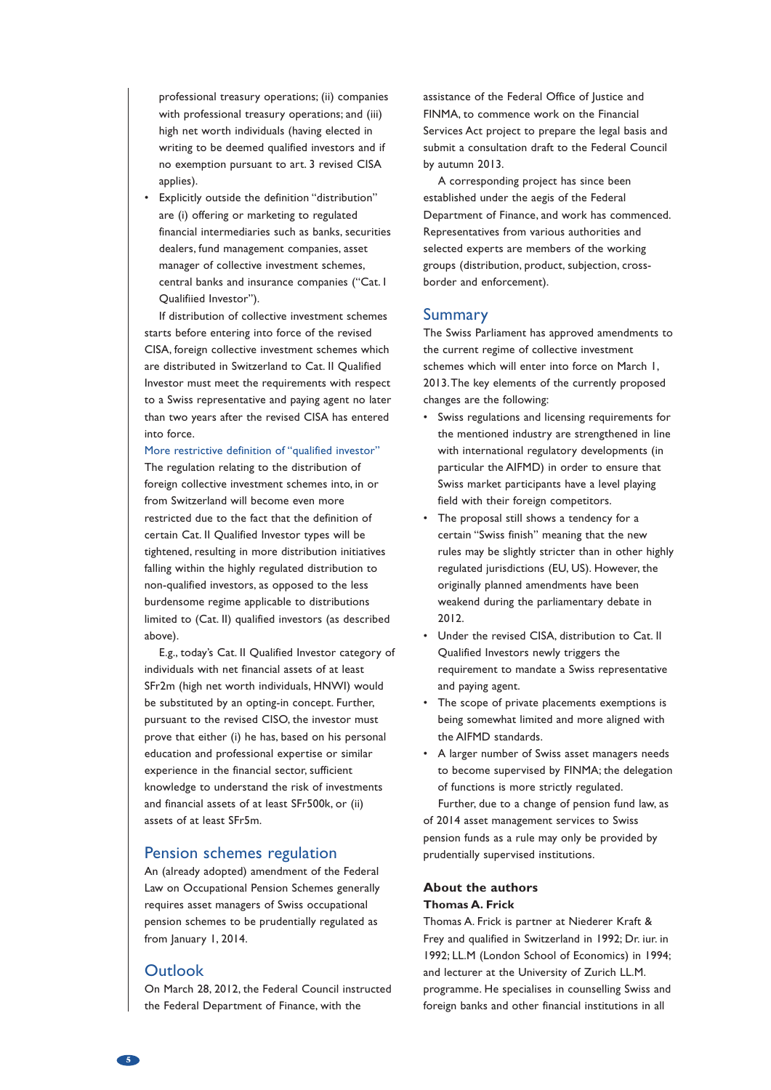professional treasury operations; (ii) companies with professional treasury operations; and (iii) high net worth individuals (having elected in writing to be deemed qualified investors and if no exemption pursuant to art. 3 revised CISA applies).

• Explicitly outside the definition "distribution" are (i) offering or marketing to regulated financial intermediaries such as banks, securities dealers, fund management companies, asset manager of collective investment schemes, central banks and insurance companies ("Cat. I Qualifiied Investor").

If distribution of collective investment schemes starts before entering into force of the revised CISA, foreign collective investment schemes which are distributed in Switzerland to Cat. II Qualified Investor must meet the requirements with respect to a Swiss representative and paying agent no later than two years after the revised CISA has entered into force.

## More restrictive definition of "qualified investor"

The regulation relating to the distribution of foreign collective investment schemes into, in or from Switzerland will become even more restricted due to the fact that the definition of certain Cat. II Qualified Investor types will be tightened, resulting in more distribution initiatives falling within the highly regulated distribution to non-qualified investors, as opposed to the less burdensome regime applicable to distributions limited to (Cat. II) qualified investors (as described above).

E.g., today's Cat. II Qualified Investor category of individuals with net financial assets of at least SFr2m (high net worth individuals, HNWI) would be substituted by an opting-in concept. Further, pursuant to the revised CISO, the investor must prove that either (i) he has, based on his personal education and professional expertise or similar experience in the financial sector, sufficient knowledge to understand the risk of investments and financial assets of at least SFr500k, or (ii) assets of at least SFr5m.

## Pension schemes regulation

An (already adopted) amendment of the Federal Law on Occupational Pension Schemes generally requires asset managers of Swiss occupational pension schemes to be prudentially regulated as from January 1, 2014.

## **Outlook**

On March 28, 2012, the Federal Council instructed the Federal Department of Finance, with the

assistance of the Federal Office of Justice and FINMA, to commence work on the Financial Services Act project to prepare the legal basis and submit a consultation draft to the Federal Council by autumn 2013.

A corresponding project has since been established under the aegis of the Federal Department of Finance, and work has commenced. Representatives from various authorities and selected experts are members of the working groups (distribution, product, subjection, crossborder and enforcement).

## Summary

The Swiss Parliament has approved amendments to the current regime of collective investment schemes which will enter into force on March 1, 2013.The key elements of the currently proposed changes are the following:

- Swiss regulations and licensing requirements for the mentioned industry are strengthened in line with international regulatory developments (in particular the AIFMD) in order to ensure that Swiss market participants have a level playing field with their foreign competitors.
- The proposal still shows a tendency for a certain "Swiss finish" meaning that the new rules may be slightly stricter than in other highly regulated jurisdictions (EU, US). However, the originally planned amendments have been weakend during the parliamentary debate in 2012.
- Under the revised CISA, distribution to Cat. II Qualified Investors newly triggers the requirement to mandate a Swiss representative and paying agent.
- The scope of private placements exemptions is being somewhat limited and more aligned with the AIFMD standards.
- A larger number of Swiss asset managers needs to become supervised by FINMA; the delegation of functions is more strictly regulated.

Further, due to a change of pension fund law, as of 2014 asset management services to Swiss pension funds as a rule may only be provided by prudentially supervised institutions.

## **About the authors Thomas A. Frick**

Thomas A. Frick is partner at Niederer Kraft & Frey and qualified in Switzerland in 1992; Dr. iur. in 1992; LL.M (London School of Economics) in 1994; and lecturer at the University of Zurich LL.M. programme. He specialises in counselling Swiss and foreign banks and other financial institutions in all